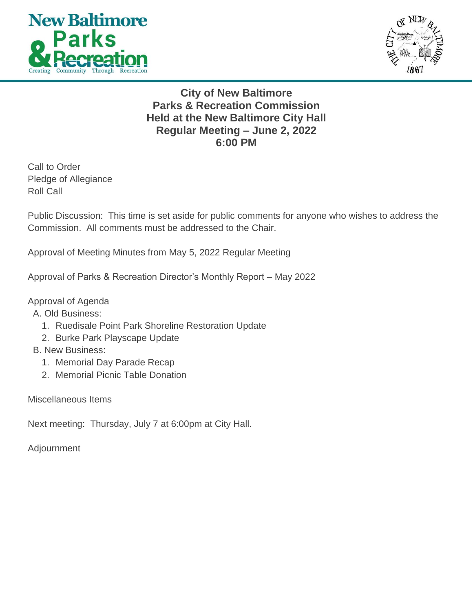



**City of New Baltimore Parks & Recreation Commission Held at the New Baltimore City Hall Regular Meeting – June 2, 2022 6:00 PM**

Call to Order Pledge of Allegiance Roll Call

Public Discussion: This time is set aside for public comments for anyone who wishes to address the Commission. All comments must be addressed to the Chair.

Approval of Meeting Minutes from May 5, 2022 Regular Meeting

Approval of Parks & Recreation Director's Monthly Report – May 2022

Approval of Agenda

A. Old Business:

- 1. Ruedisale Point Park Shoreline Restoration Update
- 2. Burke Park Playscape Update
- B. New Business:
	- 1. Memorial Day Parade Recap
	- 2. Memorial Picnic Table Donation

Miscellaneous Items

Next meeting: Thursday, July 7 at 6:00pm at City Hall.

Adjournment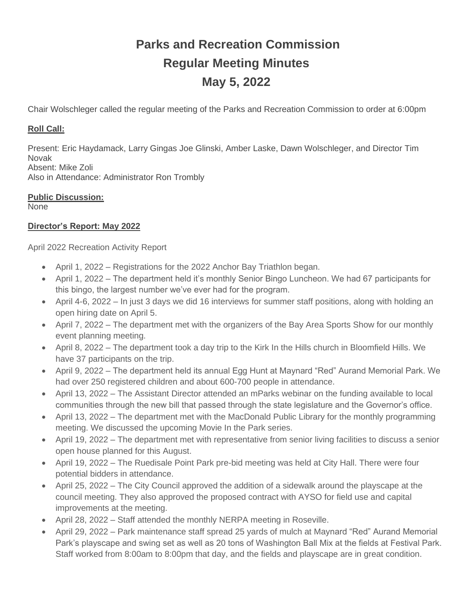# **Parks and Recreation Commission Regular Meeting Minutes May 5, 2022**

Chair Wolschleger called the regular meeting of the Parks and Recreation Commission to order at 6:00pm

### **Roll Call:**

Present: Eric Haydamack, Larry Gingas Joe Glinski, Amber Laske, Dawn Wolschleger, and Director Tim Novak Absent: Mike Zoli Also in Attendance: Administrator Ron Trombly

**Public Discussion:** 

## None

### **Director's Report: May 2022**

April 2022 Recreation Activity Report

- April 1, 2022 Registrations for the 2022 Anchor Bay Triathlon began.
- April 1, 2022 The department held it's monthly Senior Bingo Luncheon. We had 67 participants for this bingo, the largest number we've ever had for the program.
- April 4-6, 2022 In just 3 days we did 16 interviews for summer staff positions, along with holding an open hiring date on April 5.
- April 7, 2022 The department met with the organizers of the Bay Area Sports Show for our monthly event planning meeting.
- April 8, 2022 The department took a day trip to the Kirk In the Hills church in Bloomfield Hills. We have 37 participants on the trip.
- April 9, 2022 The department held its annual Egg Hunt at Maynard "Red" Aurand Memorial Park. We had over 250 registered children and about 600-700 people in attendance.
- April 13, 2022 The Assistant Director attended an mParks webinar on the funding available to local communities through the new bill that passed through the state legislature and the Governor's office.
- April 13, 2022 The department met with the MacDonald Public Library for the monthly programming meeting. We discussed the upcoming Movie In the Park series.
- April 19, 2022 The department met with representative from senior living facilities to discuss a senior open house planned for this August.
- April 19, 2022 The Ruedisale Point Park pre-bid meeting was held at City Hall. There were four potential bidders in attendance.
- April 25, 2022 The City Council approved the addition of a sidewalk around the playscape at the council meeting. They also approved the proposed contract with AYSO for field use and capital improvements at the meeting.
- April 28, 2022 Staff attended the monthly NERPA meeting in Roseville.
- April 29, 2022 Park maintenance staff spread 25 yards of mulch at Maynard "Red" Aurand Memorial Park's playscape and swing set as well as 20 tons of Washington Ball Mix at the fields at Festival Park. Staff worked from 8:00am to 8:00pm that day, and the fields and playscape are in great condition.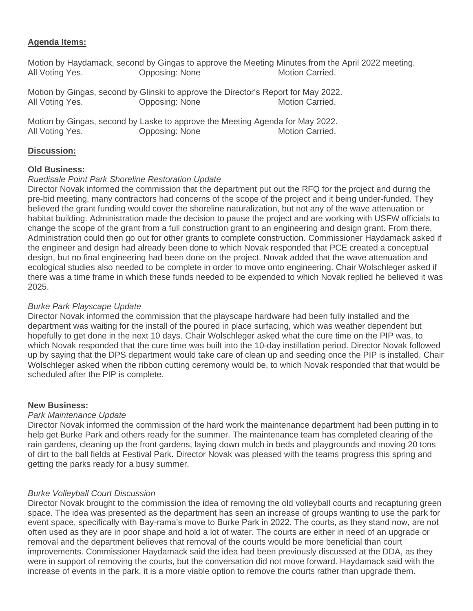#### **Agenda Items:**

Motion by Haydamack, second by Gingas to approve the Meeting Minutes from the April 2022 meeting. All Voting Yes. **Opposing: None** Motion Carried.

Motion by Gingas, second by Glinski to approve the Director's Report for May 2022. All Voting Yes. **Communist Communist Communist Communist Communist Communist Communist Communist Communist Communist Communist Communist Communist Communist Communist Communist Communist Communist Communist Communist Commu** 

Motion by Gingas, second by Laske to approve the Meeting Agenda for May 2022. All Voting Yes. **Opposing: None** Motion Carried.

#### **Discussion:**

#### **Old Business:**

#### *Ruedisale Point Park Shoreline Restoration Update*

Director Novak informed the commission that the department put out the RFQ for the project and during the pre-bid meeting, many contractors had concerns of the scope of the project and it being under-funded. They believed the grant funding would cover the shoreline naturalization, but not any of the wave attenuation or habitat building. Administration made the decision to pause the project and are working with USFW officials to change the scope of the grant from a full construction grant to an engineering and design grant. From there, Administration could then go out for other grants to complete construction. Commissioner Haydamack asked if the engineer and design had already been done to which Novak responded that PCE created a conceptual design, but no final engineering had been done on the project. Novak added that the wave attenuation and ecological studies also needed to be complete in order to move onto engineering. Chair Wolschleger asked if there was a time frame in which these funds needed to be expended to which Novak replied he believed it was 2025.

#### *Burke Park Playscape Update*

Director Novak informed the commission that the playscape hardware had been fully installed and the department was waiting for the install of the poured in place surfacing, which was weather dependent but hopefully to get done in the next 10 days. Chair Wolschleger asked what the cure time on the PIP was, to which Novak responded that the cure time was built into the 10-day instillation period. Director Novak followed up by saying that the DPS department would take care of clean up and seeding once the PIP is installed. Chair Wolschleger asked when the ribbon cutting ceremony would be, to which Novak responded that that would be scheduled after the PIP is complete.

#### **New Business:**

#### *Park Maintenance Update*

Director Novak informed the commission of the hard work the maintenance department had been putting in to help get Burke Park and others ready for the summer. The maintenance team has completed clearing of the rain gardens, cleaning up the front gardens, laying down mulch in beds and playgrounds and moving 20 tons of dirt to the ball fields at Festival Park. Director Novak was pleased with the teams progress this spring and getting the parks ready for a busy summer.

#### *Burke Volleyball Court Discussion*

Director Novak brought to the commission the idea of removing the old volleyball courts and recapturing green space. The idea was presented as the department has seen an increase of groups wanting to use the park for event space, specifically with Bay-rama's move to Burke Park in 2022. The courts, as they stand now, are not often used as they are in poor shape and hold a lot of water. The courts are either in need of an upgrade or removal and the department believes that removal of the courts would be more beneficial than court improvements. Commissioner Haydamack said the idea had been previously discussed at the DDA, as they were in support of removing the courts, but the conversation did not move forward. Haydamack said with the increase of events in the park, it is a more viable option to remove the courts rather than upgrade them.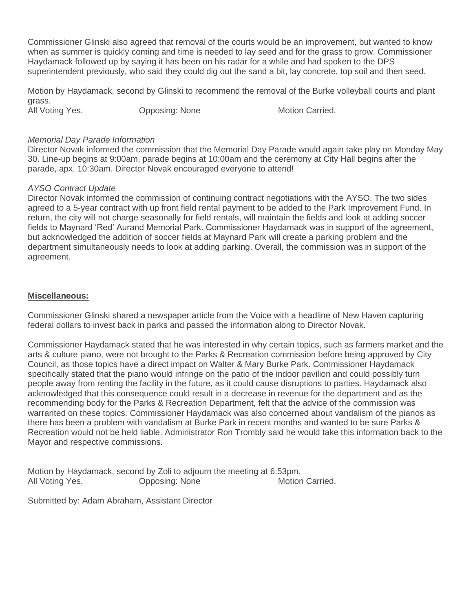Commissioner Glinski also agreed that removal of the courts would be an improvement, but wanted to know when as summer is quickly coming and time is needed to lay seed and for the grass to grow. Commissioner Haydamack followed up by saying it has been on his radar for a while and had spoken to the DPS superintendent previously, who said they could dig out the sand a bit, lay concrete, top soil and then seed.

Motion by Haydamack, second by Glinski to recommend the removal of the Burke volleyball courts and plant grass. All Voting Yes. **Opposing: None** Motion Carried.

#### *Memorial Day Parade Information*

Director Novak informed the commission that the Memorial Day Parade would again take play on Monday May 30. Line-up begins at 9:00am, parade begins at 10:00am and the ceremony at City Hall begins after the parade, apx. 10:30am. Director Novak encouraged everyone to attend!

#### *AYSO Contract Update*

Director Novak informed the commission of continuing contract negotiations with the AYSO. The two sides agreed to a 5-year contract with up front field rental payment to be added to the Park Improvement Fund. In return, the city will not charge seasonally for field rentals, will maintain the fields and look at adding soccer fields to Maynard 'Red' Aurand Memorial Park. Commissioner Haydamack was in support of the agreement, but acknowledged the addition of soccer fields at Maynard Park will create a parking problem and the department simultaneously needs to look at adding parking. Overall, the commission was in support of the agreement.

#### **Miscellaneous:**

Commissioner Glinski shared a newspaper article from the Voice with a headline of New Haven capturing federal dollars to invest back in parks and passed the information along to Director Novak.

Commissioner Haydamack stated that he was interested in why certain topics, such as farmers market and the arts & culture piano, were not brought to the Parks & Recreation commission before being approved by City Council, as those topics have a direct impact on Walter & Mary Burke Park. Commissioner Haydamack specifically stated that the piano would infringe on the patio of the indoor pavilion and could possibly turn people away from renting the facility in the future, as it could cause disruptions to parties. Haydamack also acknowledged that this consequence could result in a decrease in revenue for the department and as the recommending body for the Parks & Recreation Department, felt that the advice of the commission was warranted on these topics. Commissioner Haydamack was also concerned about vandalism of the pianos as there has been a problem with vandalism at Burke Park in recent months and wanted to be sure Parks & Recreation would not be held liable. Administrator Ron Trombly said he would take this information back to the Mayor and respective commissions.

Motion by Haydamack, second by Zoli to adjourn the meeting at 6:53pm. All Voting Yes. **Opposing: None** Motion Carried.

Submitted by: Adam Abraham, Assistant Director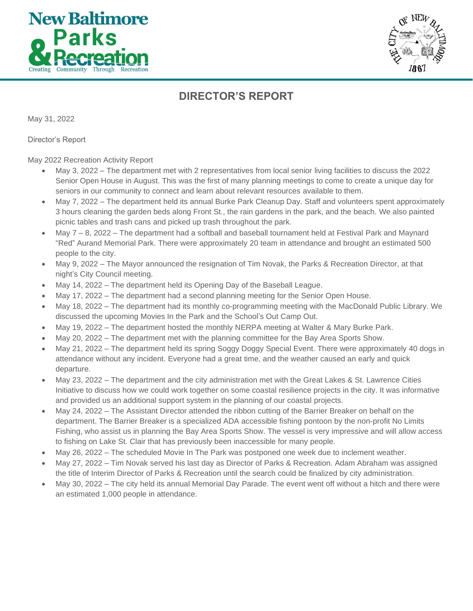



# **DIRECTOR'S REPORT**

May 31, 2022

Director's Report

#### May 2022 Recreation Activity Report

- May 3, 2022 The department met with 2 representatives from local senior living facilities to discuss the 2022 Senior Open House in August. This was the first of many planning meetings to come to create a unique day for seniors in our community to connect and learn about relevant resources available to them.
- May 7, 2022 The department held its annual Burke Park Cleanup Day. Staff and volunteers spent approximately 3 hours cleaning the garden beds along Front St., the rain gardens in the park, and the beach. We also painted picnic tables and trash cans and picked up trash throughout the park.
- May 7 8, 2022 The department had a softball and baseball tournament held at Festival Park and Maynard "Red" Aurand Memorial Park. There were approximately 20 team in attendance and brought an estimated 500 people to the city.
- May 9, 2022 The Mayor announced the resignation of Tim Novak, the Parks & Recreation Director, at that night's City Council meeting.
- May 14, 2022 The department held its Opening Day of the Baseball League.
- May 17, 2022 The department had a second planning meeting for the Senior Open House.
- May 18, 2022 The department had its monthly co-programming meeting with the MacDonald Public Library. We discussed the upcoming Movies In the Park and the School's Out Camp Out.
- May 19, 2022 The department hosted the monthly NERPA meeting at Walter & Mary Burke Park.
- May 20, 2022 The department met with the planning committee for the Bay Area Sports Show.
- May 21, 2022 The department held its spring Soggy Doggy Special Event. There were approximately 40 dogs in attendance without any incident. Everyone had a great time, and the weather caused an early and quick departure.
- May 23, 2022 The department and the city administration met with the Great Lakes & St. Lawrence Cities Initiative to discuss how we could work together on some coastal resilience projects in the city. It was informative and provided us an additional support system in the planning of our coastal projects.
- May 24, 2022 The Assistant Director attended the ribbon cutting of the Barrier Breaker on behalf on the department. The Barrier Breaker is a specialized ADA accessible fishing pontoon by the non-profit No Limits Fishing, who assist us in planning the Bay Area Sports Show. The vessel is very impressive and will allow access to fishing on Lake St. Clair that has previously been inaccessible for many people.
- May 26, 2022 The scheduled Movie In The Park was postponed one week due to inclement weather.
- May 27, 2022 Tim Novak served his last day as Director of Parks & Recreation. Adam Abraham was assigned the title of Interim Director of Parks & Recreation until the search could be finalized by city administration.
- May 30, 2022 The city held its annual Memorial Day Parade. The event went off without a hitch and there were an estimated 1,000 people in attendance.